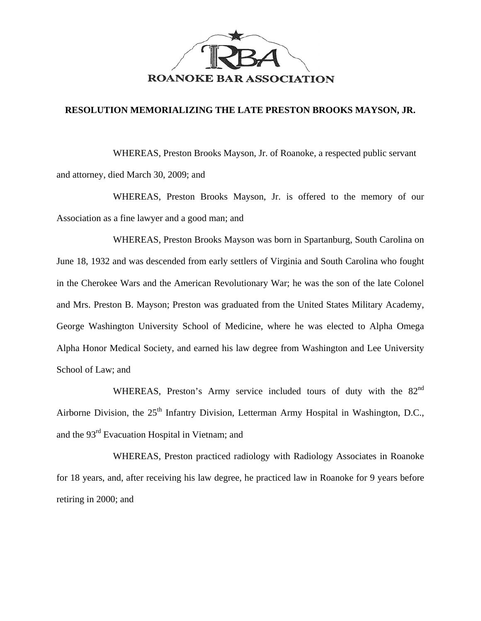

## **RESOLUTION MEMORIALIZING THE LATE PRESTON BROOKS MAYSON, JR.**

WHEREAS, Preston Brooks Mayson, Jr. of Roanoke, a respected public servant and attorney, died March 30, 2009; and

WHEREAS, Preston Brooks Mayson, Jr. is offered to the memory of our Association as a fine lawyer and a good man; and

WHEREAS, Preston Brooks Mayson was born in Spartanburg, South Carolina on June 18, 1932 and was descended from early settlers of Virginia and South Carolina who fought in the Cherokee Wars and the American Revolutionary War; he was the son of the late Colonel and Mrs. Preston B. Mayson; Preston was graduated from the United States Military Academy, George Washington University School of Medicine, where he was elected to Alpha Omega Alpha Honor Medical Society, and earned his law degree from Washington and Lee University School of Law; and

WHEREAS, Preston's Army service included tours of duty with the 82<sup>nd</sup> Airborne Division, the  $25<sup>th</sup>$  Infantry Division, Letterman Army Hospital in Washington, D.C., and the 93rd Evacuation Hospital in Vietnam; and

WHEREAS, Preston practiced radiology with Radiology Associates in Roanoke for 18 years, and, after receiving his law degree, he practiced law in Roanoke for 9 years before retiring in 2000; and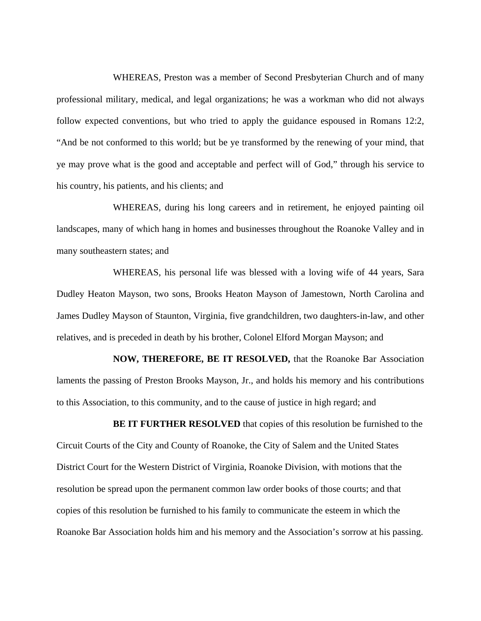WHEREAS, Preston was a member of Second Presbyterian Church and of many professional military, medical, and legal organizations; he was a workman who did not always follow expected conventions, but who tried to apply the guidance espoused in Romans 12:2, "And be not conformed to this world; but be ye transformed by the renewing of your mind, that ye may prove what is the good and acceptable and perfect will of God," through his service to his country, his patients, and his clients; and

 WHEREAS, during his long careers and in retirement, he enjoyed painting oil landscapes, many of which hang in homes and businesses throughout the Roanoke Valley and in many southeastern states; and

 WHEREAS, his personal life was blessed with a loving wife of 44 years, Sara Dudley Heaton Mayson, two sons, Brooks Heaton Mayson of Jamestown, North Carolina and James Dudley Mayson of Staunton, Virginia, five grandchildren, two daughters-in-law, and other relatives, and is preceded in death by his brother, Colonel Elford Morgan Mayson; and

 **NOW, THEREFORE, BE IT RESOLVED,** that the Roanoke Bar Association laments the passing of Preston Brooks Mayson, Jr., and holds his memory and his contributions to this Association, to this community, and to the cause of justice in high regard; and

**BE IT FURTHER RESOLVED** that copies of this resolution be furnished to the Circuit Courts of the City and County of Roanoke, the City of Salem and the United States District Court for the Western District of Virginia, Roanoke Division, with motions that the resolution be spread upon the permanent common law order books of those courts; and that copies of this resolution be furnished to his family to communicate the esteem in which the Roanoke Bar Association holds him and his memory and the Association's sorrow at his passing.